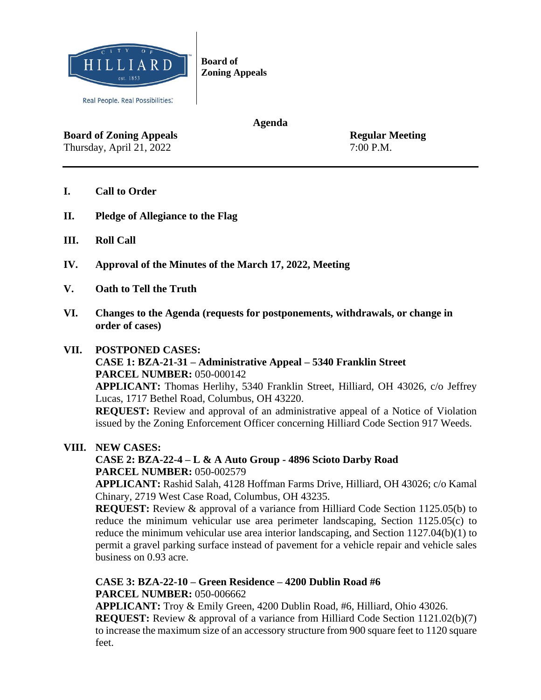

**Agenda**

**Board of Zoning Appeals** Regular Meeting Thursday, April 21, 2022 7:00 P.M.

- **I. Call to Order**
- **II. Pledge of Allegiance to the Flag**
- **III. Roll Call**
- **IV. Approval of the Minutes of the March 17, 2022, Meeting**
- **V. Oath to Tell the Truth**
- **VI. Changes to the Agenda (requests for postponements, withdrawals, or change in order of cases)**

### **VII. POSTPONED CASES:**

### **CASE 1: BZA-21-31 – Administrative Appeal – 5340 Franklin Street PARCEL NUMBER: 050-000142**

**APPLICANT:** Thomas Herlihy, 5340 Franklin Street, Hilliard, OH 43026, c/o Jeffrey Lucas, 1717 Bethel Road, Columbus, OH 43220.

**REQUEST:** Review and approval of an administrative appeal of a Notice of Violation issued by the Zoning Enforcement Officer concerning Hilliard Code Section 917 Weeds.

**VIII. NEW CASES:**

## **CASE 2: BZA-22-4 – L & A Auto Group - 4896 Scioto Darby Road PARCEL NUMBER:** 050-002579

**APPLICANT:** Rashid Salah, 4128 Hoffman Farms Drive, Hilliard, OH 43026; c/o Kamal Chinary, 2719 West Case Road, Columbus, OH 43235.

**REQUEST:** Review & approval of a variance from Hilliard Code Section 1125.05(b) to reduce the minimum vehicular use area perimeter landscaping, Section 1125.05(c) to reduce the minimum vehicular use area interior landscaping, and Section 1127.04(b)(1) to permit a gravel parking surface instead of pavement for a vehicle repair and vehicle sales business on 0.93 acre.

**CASE 3: BZA-22-10 – Green Residence – 4200 Dublin Road #6 PARCEL NUMBER:** 050-006662

**APPLICANT:** Troy & Emily Green, 4200 Dublin Road, #6, Hilliard, Ohio 43026. **REQUEST:** Review & approval of a variance from Hilliard Code Section 1121.02(b)(7) to increase the maximum size of an accessory structure from 900 square feet to 1120 square feet.